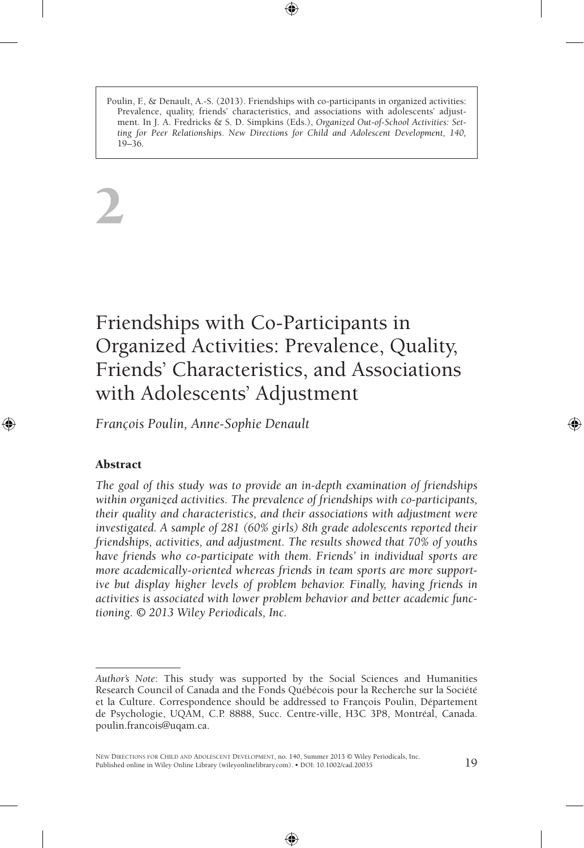Poulin, F., & Denault, A.-S. (2013). Friendships with co-participants in organized activities: Prevalence, quality, friends' characteristics, and associations with adolescents' adjustment. In J. A. Fredricks & S. D. Simpkins (Eds.), *Organized Out-of-School Activities: Setting for Peer Relationships. New Directions for Child and Adolescent Development, 140,* 19–36.

# 2

# Friendships with Co-Participants in Organized Activities: Prevalence, Quality, Friends' Characteristics, and Associations with Adolescents' Adjustment

*François Poulin, Anne-Sophie Denault*

# Abstract

⊕

*The goal of this study was to provide an in-depth examination of friendships within organized activities. The prevalence of friendships with co-participants, their quality and characteristics, and their associations with adjustment were investigated. A sample of 281 (60% girls) 8th grade adolescents reported their friendships, activities, and adjustment. The results showed that 70% of youths have friends who co-participate with them. Friends' in individual sports are more academically-oriented whereas friends in team sports are more supportive but display higher levels of problem behavior. Finally, having friends in activities is associated with lower problem behavior and better academic functioning. © 2013 Wiley Periodicals, Inc.*

⊕

↔

*Author's Note*: This study was supported by the Social Sciences and Humanities Research Council of Canada and the Fonds Québécois pour la Recherche sur la Société et la Culture. Correspondence should be addressed to François Poulin, Département de Psychologie, UQAM, C.P. 8888, Succ. Centre-ville, H3C 3P8, Montréal, Canada. poulin.francois@uqam.ca.

NEW DIRECTIONS FOR CHILD AND ADOLESCENT DEVELOPMENT, no. 140, Summer 2013 © Wiley Periodicals, Inc. Published online in Wiley Online Library (wileyonlinelibrary.com). • DOI: 10.1002/cad.20035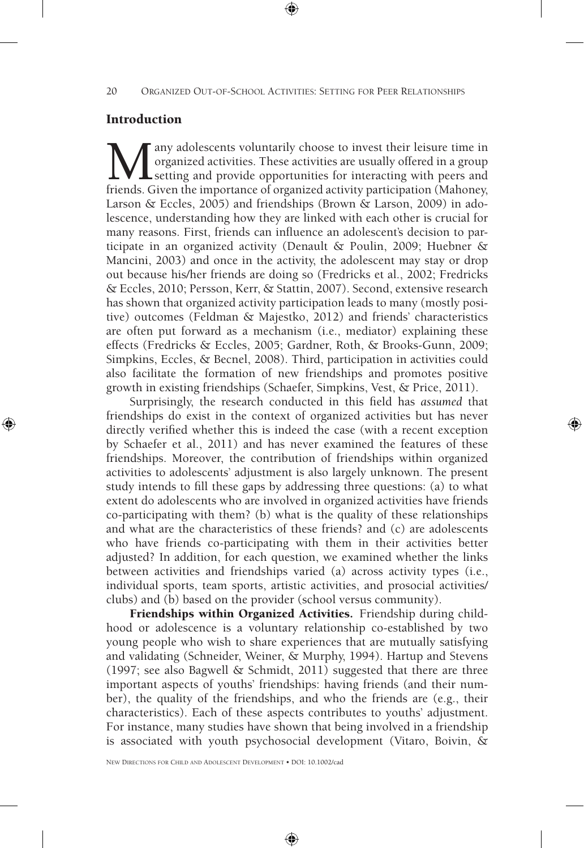# Introduction

⊕

Many adolescents voluntarily choose to invest their leisure time in<br>organized activities. These activities are usually offered in a group<br>friends. Given the importance of organized activity participation (Mahoney organized activities. These activities are usually offered in a group setting and provide opportunities for interacting with peers and friends. Given the importance of organized activity participation (Mahoney, Larson & Eccles, 2005) and friendships (Brown & Larson, 2009) in adolescence, understanding how they are linked with each other is crucial for many reasons. First, friends can influence an adolescent's decision to participate in an organized activity (Denault & Poulin, 2009; Huebner & Mancini, 2003) and once in the activity, the adolescent may stay or drop out because his/her friends are doing so (Fredricks et al., 2002; Fredricks & Eccles, 2010; Persson, Kerr, & Stattin, 2007). Second, extensive research has shown that organized activity participation leads to many (mostly positive) outcomes (Feldman & Majestko, 2012) and friends' characteristics are often put forward as a mechanism (i.e., mediator) explaining these effects (Fredricks & Eccles, 2005; Gardner, Roth, & Brooks-Gunn, 2009; Simpkins, Eccles, & Becnel, 2008). Third, participation in activities could also facilitate the formation of new friendships and promotes positive growth in existing friendships (Schaefer, Simpkins, Vest, & Price, 2011).

Surprisingly, the research conducted in this field has *assumed* that friendships do exist in the context of organized activities but has never directly verified whether this is indeed the case (with a recent exception by Schaefer et al., 2011) and has never examined the features of these friendships. Moreover, the contribution of friendships within organized activities to adolescents' adjustment is also largely unknown. The present study intends to fill these gaps by addressing three questions: (a) to what extent do adolescents who are involved in organized activities have friends co-participating with them? (b) what is the quality of these relationships and what are the characteristics of these friends? and (c) are adolescents who have friends co-participating with them in their activities better adjusted? In addition, for each question, we examined whether the links between activities and friendships varied (a) across activity types (i.e., individual sports, team sports, artistic activities, and prosocial activities/ clubs) and (b) based on the provider (school versus community).

Friendships within Organized Activities. Friendship during childhood or adolescence is a voluntary relationship co-established by two young people who wish to share experiences that are mutually satisfying and validating (Schneider, Weiner, & Murphy, 1994). Hartup and Stevens (1997; see also Bagwell & Schmidt, 2011) suggested that there are three important aspects of youths' friendships: having friends (and their number), the quality of the friendships, and who the friends are (e.g., their characteristics). Each of these aspects contributes to youths' adjustment. For instance, many studies have shown that being involved in a friendship is associated with youth psychosocial development (Vitaro, Boivin, &

⊕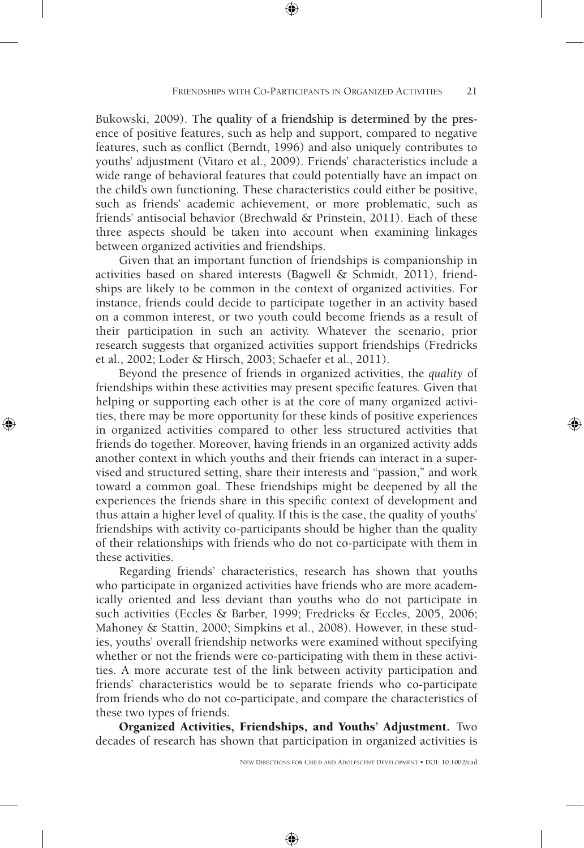Bukowski, 2009). The quality of a friendship is determined by the presence of positive features, such as help and support, compared to negative features, such as conflict (Berndt, 1996) and also uniquely contributes to youths' adjustment (Vitaro et al., 2009). Friends' characteristics include a wide range of behavioral features that could potentially have an impact on the child's own functioning. These characteristics could either be positive, such as friends' academic achievement, or more problematic, such as friends' antisocial behavior (Brechwald & Prinstein, 2011). Each of these three aspects should be taken into account when examining linkages between organized activities and friendships.

Given that an important function of friendships is companionship in activities based on shared interests (Bagwell & Schmidt, 2011), friendships are likely to be common in the context of organized activities. For instance, friends could decide to participate together in an activity based on a common interest, or two youth could become friends as a result of their participation in such an activity. Whatever the scenario, prior research suggests that organized activities support friendships (Fredricks et al., 2002; Loder & Hirsch, 2003; Schaefer et al., 2011).

Beyond the presence of friends in organized activities, the *quality* of friendships within these activities may present specific features. Given that helping or supporting each other is at the core of many organized activities, there may be more opportunity for these kinds of positive experiences in organized activities compared to other less structured activities that friends do together. Moreover, having friends in an organized activity adds another context in which youths and their friends can interact in a supervised and structured setting, share their interests and "passion," and work toward a common goal. These friendships might be deepened by all the experiences the friends share in this specific context of development and thus attain a higher level of quality. If this is the case, the quality of youths' friendships with activity co-participants should be higher than the quality of their relationships with friends who do not co-participate with them in these activities.

⊕

Regarding friends' characteristics, research has shown that youths who participate in organized activities have friends who are more academically oriented and less deviant than youths who do not participate in such activities (Eccles & Barber, 1999; Fredricks & Eccles, 2005, 2006; Mahoney & Stattin, 2000; Simpkins et al., 2008). However, in these studies, youths' overall friendship networks were examined without specifying whether or not the friends were co-participating with them in these activities. A more accurate test of the link between activity participation and friends' characteristics would be to separate friends who co-participate from friends who do not co-participate, and compare the characteristics of these two types of friends.

Organized Activities, Friendships, and Youths' Adjustment. Two decades of research has shown that participation in organized activities is

⊕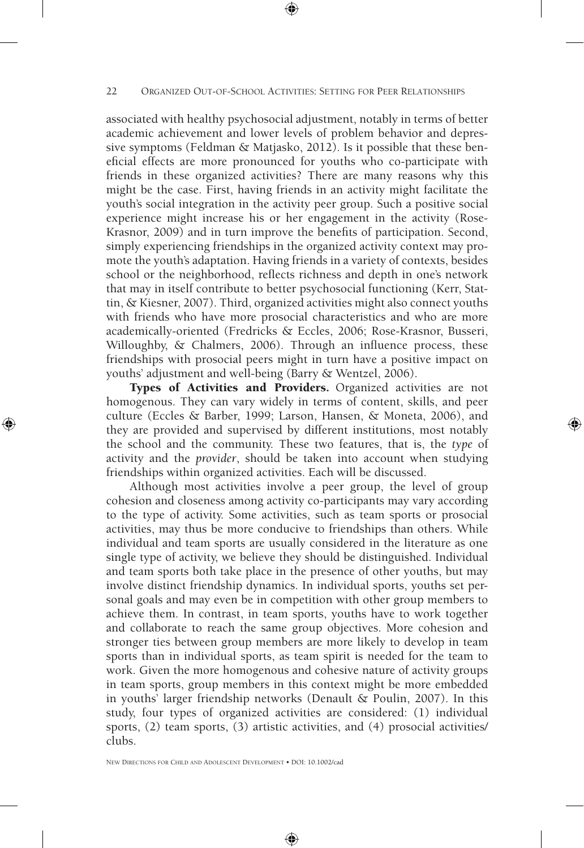associated with healthy psychosocial adjustment, notably in terms of better academic achievement and lower levels of problem behavior and depressive symptoms (Feldman & Matjasko, 2012). Is it possible that these beneficial effects are more pronounced for youths who co-participate with friends in these organized activities? There are many reasons why this might be the case. First, having friends in an activity might facilitate the youth's social integration in the activity peer group. Such a positive social experience might increase his or her engagement in the activity (Rose-Krasnor, 2009) and in turn improve the benefits of participation. Second, simply experiencing friendships in the organized activity context may promote the youth's adaptation. Having friends in a variety of contexts, besides school or the neighborhood, reflects richness and depth in one's network that may in itself contribute to better psychosocial functioning (Kerr, Stattin, & Kiesner, 2007). Third, organized activities might also connect youths with friends who have more prosocial characteristics and who are more academically-oriented (Fredricks & Eccles, 2006; Rose-Krasnor, Busseri, Willoughby, & Chalmers, 2006). Through an influence process, these friendships with prosocial peers might in turn have a positive impact on youths' adjustment and well-being (Barry & Wentzel, 2006).

Types of Activities and Providers. Organized activities are not homogenous. They can vary widely in terms of content, skills, and peer culture (Eccles & Barber, 1999; Larson, Hansen, & Moneta, 2006), and they are provided and supervised by different institutions, most notably the school and the community. These two features, that is, the *type* of activity and the *provider*, should be taken into account when studying friendships within organized activities. Each will be discussed.

Although most activities involve a peer group, the level of group cohesion and closeness among activity co-participants may vary according to the type of activity. Some activities, such as team sports or prosocial activities, may thus be more conducive to friendships than others. While individual and team sports are usually considered in the literature as one single type of activity, we believe they should be distinguished. Individual and team sports both take place in the presence of other youths, but may involve distinct friendship dynamics. In individual sports, youths set personal goals and may even be in competition with other group members to achieve them. In contrast, in team sports, youths have to work together and collaborate to reach the same group objectives. More cohesion and stronger ties between group members are more likely to develop in team sports than in individual sports, as team spirit is needed for the team to work. Given the more homogenous and cohesive nature of activity groups in team sports, group members in this context might be more embedded in youths' larger friendship networks (Denault & Poulin, 2007). In this study, four types of organized activities are considered: (1) individual sports, (2) team sports, (3) artistic activities, and (4) prosocial activities/ clubs.

⊕

New Directions for Child and Adolescent Development • DOI: 10.1002/cad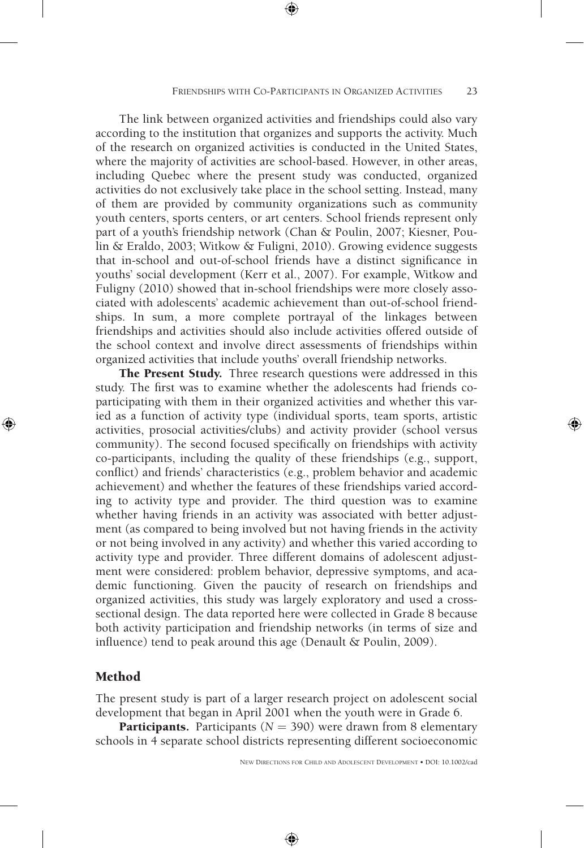The link between organized activities and friendships could also vary according to the institution that organizes and supports the activity. Much of the research on organized activities is conducted in the United States, where the majority of activities are school-based. However, in other areas, including Quebec where the present study was conducted, organized activities do not exclusively take place in the school setting. Instead, many of them are provided by community organizations such as community youth centers, sports centers, or art centers. School friends represent only part of a youth's friendship network (Chan & Poulin, 2007; Kiesner, Poulin & Eraldo, 2003; Witkow & Fuligni, 2010). Growing evidence suggests that in-school and out-of-school friends have a distinct significance in youths' social development (Kerr et al., 2007). For example, Witkow and Fuligny (2010) showed that in-school friendships were more closely associated with adolescents' academic achievement than out-of-school friendships. In sum, a more complete portrayal of the linkages between friendships and activities should also include activities offered outside of the school context and involve direct assessments of friendships within organized activities that include youths' overall friendship networks.

The Present Study. Three research questions were addressed in this study. The first was to examine whether the adolescents had friends coparticipating with them in their organized activities and whether this varied as a function of activity type (individual sports, team sports, artistic activities, prosocial activities/clubs) and activity provider (school versus community). The second focused specifically on friendships with activity co-participants, including the quality of these friendships (e.g., support, conflict) and friends' characteristics (e.g., problem behavior and academic achievement) and whether the features of these friendships varied according to activity type and provider. The third question was to examine whether having friends in an activity was associated with better adjustment (as compared to being involved but not having friends in the activity or not being involved in any activity) and whether this varied according to activity type and provider. Three different domains of adolescent adjustment were considered: problem behavior, depressive symptoms, and academic functioning. Given the paucity of research on friendships and organized activities, this study was largely exploratory and used a crosssectional design. The data reported here were collected in Grade 8 because both activity participation and friendship networks (in terms of size and influence) tend to peak around this age (Denault & Poulin, 2009).

# Method

⊕

The present study is part of a larger research project on adolescent social development that began in April 2001 when the youth were in Grade 6.

**Participants.** Participants ( $N = 390$ ) were drawn from 8 elementary schools in 4 separate school districts representing different socioeconomic

⊕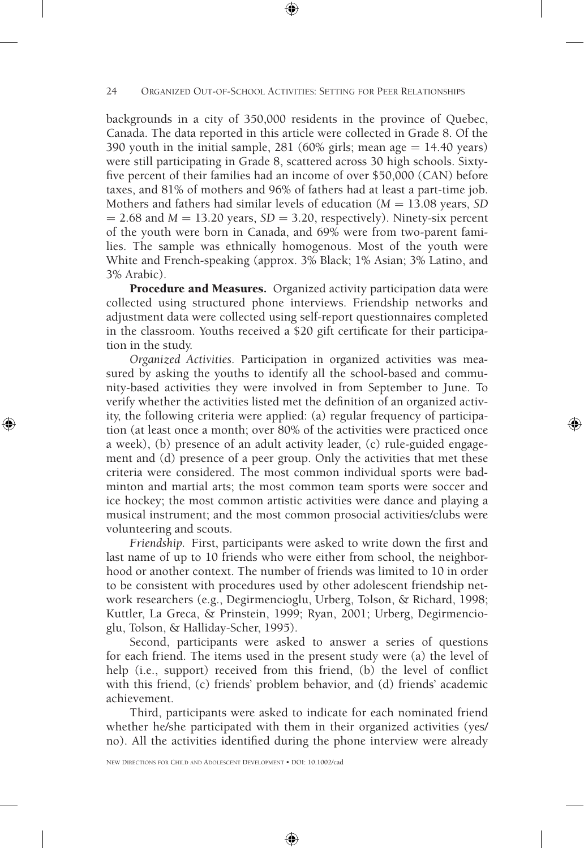backgrounds in a city of 350,000 residents in the province of Quebec, Canada. The data reported in this article were collected in Grade 8. Of the 390 youth in the initial sample, 281 (60% girls; mean age  $= 14.40$  years) were still participating in Grade 8, scattered across 30 high schools. Sixtyfive percent of their families had an income of over \$50,000 (CAN) before taxes, and 81% of mothers and 96% of fathers had at least a part-time job. Mothers and fathers had similar levels of education (*M* = 13.08 years, *SD*  $= 2.68$  and  $M = 13.20$  years,  $SD = 3.20$ , respectively). Ninety-six percent of the youth were born in Canada, and 69% were from two-parent families. The sample was ethnically homogenous. Most of the youth were White and French-speaking (approx. 3% Black; 1% Asian; 3% Latino, and 3% Arabic).

Procedure and Measures. Organized activity participation data were collected using structured phone interviews. Friendship networks and adjustment data were collected using self-report questionnaires completed in the classroom. Youths received a \$20 gift certificate for their participation in the study.

*Organized Activities.* Participation in organized activities was measured by asking the youths to identify all the school-based and community-based activities they were involved in from September to June. To verify whether the activities listed met the definition of an organized activity, the following criteria were applied: (a) regular frequency of participation (at least once a month; over 80% of the activities were practiced once a week), (b) presence of an adult activity leader, (c) rule-guided engagement and (d) presence of a peer group. Only the activities that met these criteria were considered. The most common individual sports were badminton and martial arts; the most common team sports were soccer and ice hockey; the most common artistic activities were dance and playing a musical instrument; and the most common prosocial activities/clubs were volunteering and scouts.

*Friendship.* First, participants were asked to write down the first and last name of up to 10 friends who were either from school, the neighborhood or another context. The number of friends was limited to 10 in order to be consistent with procedures used by other adolescent friendship network researchers (e.g., Degirmencioglu, Urberg, Tolson, & Richard, 1998; Kuttler, La Greca, & Prinstein, 1999; Ryan, 2001; Urberg, Degirmencioglu, Tolson, & Halliday-Scher, 1995).

Second, participants were asked to answer a series of questions for each friend. The items used in the present study were (a) the level of help (i.e., support) received from this friend, (b) the level of conflict with this friend, (c) friends' problem behavior, and (d) friends' academic achievement.

Third, participants were asked to indicate for each nominated friend whether he/she participated with them in their organized activities (yes/ no). All the activities identified during the phone interview were already

⊕

New Directions for Child and Adolescent Development • DOI: 10.1002/cad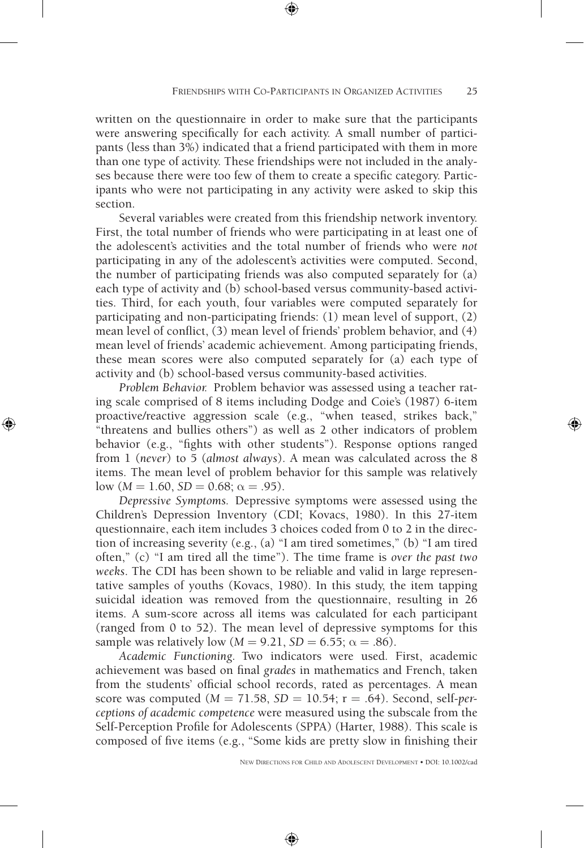written on the questionnaire in order to make sure that the participants were answering specifically for each activity. A small number of participants (less than 3%) indicated that a friend participated with them in more than one type of activity. These friendships were not included in the analyses because there were too few of them to create a specific category. Participants who were not participating in any activity were asked to skip this section.

Several variables were created from this friendship network inventory. First, the total number of friends who were participating in at least one of the adolescent's activities and the total number of friends who were *not*  participating in any of the adolescent's activities were computed. Second, the number of participating friends was also computed separately for (a) each type of activity and (b) school-based versus community-based activities. Third, for each youth, four variables were computed separately for participating and non-participating friends: (1) mean level of support, (2) mean level of conflict, (3) mean level of friends' problem behavior, and (4) mean level of friends' academic achievement. Among participating friends, these mean scores were also computed separately for (a) each type of activity and (b) school-based versus community-based activities.

*Problem Behavior.* Problem behavior was assessed using a teacher rating scale comprised of 8 items including Dodge and Coie's (1987) 6-item proactive/reactive aggression scale (e.g., "when teased, strikes back," "threatens and bullies others") as well as 2 other indicators of problem behavior (e.g., "fights with other students"). Response options ranged from 1 (*never*) to 5 (*almost always*). A mean was calculated across the 8 items. The mean level of problem behavior for this sample was relatively low  $(M = 1.60, SD = 0.68; \alpha = .95)$ .

⊕

*Depressive Symptoms.* Depressive symptoms were assessed using the Children's Depression Inventory (CDI; Kovacs, 1980). In this 27-item questionnaire, each item includes 3 choices coded from 0 to 2 in the direction of increasing severity (e.g., (a) "I am tired sometimes," (b) "I am tired often," (c) "I am tired all the time"). The time frame is *over the past two weeks*. The CDI has been shown to be reliable and valid in large representative samples of youths (Kovacs, 1980). In this study, the item tapping suicidal ideation was removed from the questionnaire, resulting in 26 items. A sum-score across all items was calculated for each participant (ranged from 0 to 52). The mean level of depressive symptoms for this sample was relatively low ( $M = 9.21$ ,  $SD = 6.55$ ;  $\alpha = .86$ ).

*Academic Functioning.* Two indicators were used*.* First, academic achievement was based on final *grades* in mathematics and French, taken from the students' official school records, rated as percentages. A mean score was computed  $(M = 71.58, SD = 10.54; r = .64)$ . Second, self-*perceptions of academic competence* were measured using the subscale from the Self-Perception Profile for Adolescents (SPPA) (Harter, 1988). This scale is composed of five items (e.g., "Some kids are pretty slow in finishing their

New Directions for Child and Adolescent Development • DOI: 10.1002/cad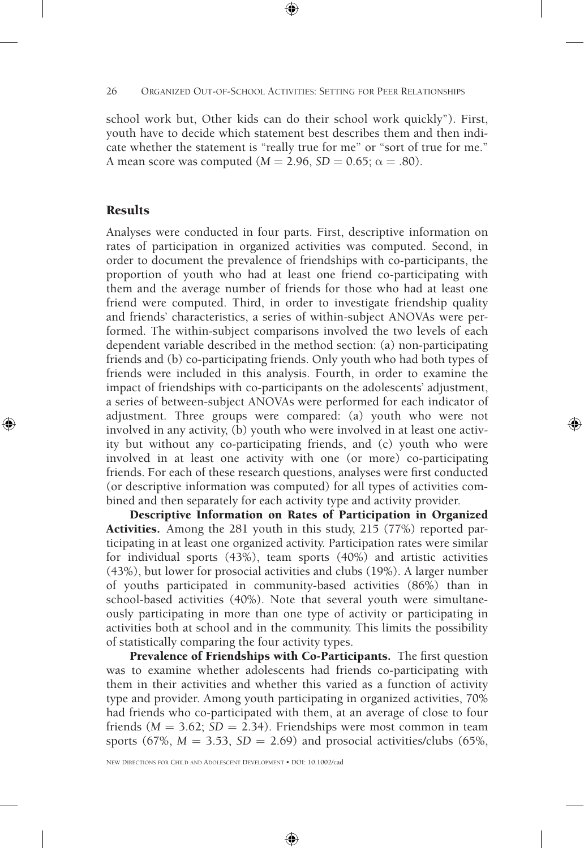school work but, Other kids can do their school work quickly"). First, youth have to decide which statement best describes them and then indicate whether the statement is "really true for me" or "sort of true for me." A mean score was computed ( $M = 2.96$ ,  $SD = 0.65$ ;  $\alpha = .80$ ).

# Results

⊕

Analyses were conducted in four parts. First, descriptive information on rates of participation in organized activities was computed. Second, in order to document the prevalence of friendships with co-participants, the proportion of youth who had at least one friend co-participating with them and the average number of friends for those who had at least one friend were computed. Third, in order to investigate friendship quality and friends' characteristics, a series of within-subject ANOVAs were performed. The within-subject comparisons involved the two levels of each dependent variable described in the method section: (a) non-participating friends and (b) co-participating friends. Only youth who had both types of friends were included in this analysis. Fourth, in order to examine the impact of friendships with co-participants on the adolescents' adjustment, a series of between-subject ANOVAs were performed for each indicator of adjustment. Three groups were compared: (a) youth who were not involved in any activity, (b) youth who were involved in at least one activity but without any co-participating friends, and (c) youth who were involved in at least one activity with one (or more) co-participating friends. For each of these research questions, analyses were first conducted (or descriptive information was computed) for all types of activities combined and then separately for each activity type and activity provider.

Descriptive Information on Rates of Participation in Organized Activities. Among the 281 youth in this study, 215 (77%) reported participating in at least one organized activity. Participation rates were similar for individual sports (43%), team sports (40%) and artistic activities (43%), but lower for prosocial activities and clubs (19%). A larger number of youths participated in community-based activities (86%) than in school-based activities (40%). Note that several youth were simultaneously participating in more than one type of activity or participating in activities both at school and in the community. This limits the possibility of statistically comparing the four activity types.

Prevalence of Friendships with Co-Participants. The first question was to examine whether adolescents had friends co-participating with them in their activities and whether this varied as a function of activity type and provider. Among youth participating in organized activities, 70% had friends who co-participated with them, at an average of close to four friends ( $M = 3.62$ ;  $SD = 2.34$ ). Friendships were most common in team sports (67%,  $M = 3.53$ ,  $SD = 2.69$ ) and prosocial activities/clubs (65%,

⊕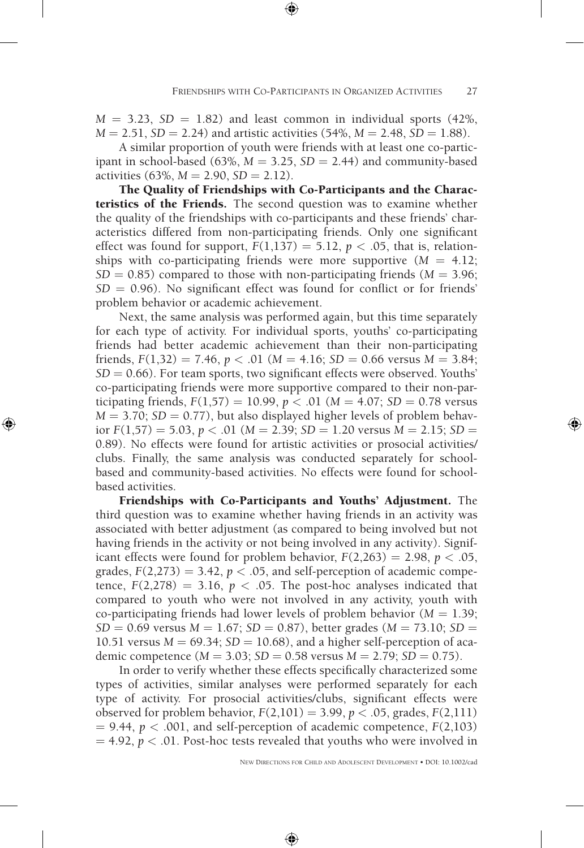$M = 3.23$ ,  $SD = 1.82$ ) and least common in individual sports  $(42\%,$  $M = 2.51$ ,  $SD = 2.24$ ) and artistic activities (54%,  $M = 2.48$ ,  $SD = 1.88$ ).

A similar proportion of youth were friends with at least one co-participant in school-based (63%,  $M = 3.25$ ,  $SD = 2.44$ ) and community-based activities  $(63\%, M = 2.90, SD = 2.12)$ .

The Quality of Friendships with Co-Participants and the Characteristics of the Friends. The second question was to examine whether the quality of the friendships with co-participants and these friends' characteristics differed from non-participating friends. Only one significant effect was found for support,  $F(1,137) = 5.12$ ,  $p < .05$ , that is, relationships with co-participating friends were more supportive  $(M = 4.12;$  $SD = 0.85$ ) compared to those with non-participating friends ( $M = 3.96$ ;  $SD = 0.96$ ). No significant effect was found for conflict or for friends' problem behavior or academic achievement.

Next, the same analysis was performed again, but this time separately for each type of activity. For individual sports, youths' co-participating friends had better academic achievement than their non-participating friends,  $F(1,32) = 7.46$ ,  $p < .01$  ( $M = 4.16$ ;  $SD = 0.66$  versus  $M = 3.84$ ;  $SD = 0.66$ ). For team sports, two significant effects were observed. Youths' co-participating friends were more supportive compared to their non-participating friends,  $F(1,57) = 10.99$ ,  $p < .01$  ( $M = 4.07$ ;  $SD = 0.78$  versus  $M = 3.70$ ; *SD* = 0.77), but also displayed higher levels of problem behavior  $F(1,57) = 5.03$ ,  $p < .01$  ( $M = 2.39$ ;  $SD = 1.20$  versus  $M = 2.15$ ;  $SD =$ 0.89). No effects were found for artistic activities or prosocial activities/ clubs. Finally, the same analysis was conducted separately for schoolbased and community-based activities. No effects were found for schoolbased activities.

⇔

Friendships with Co-Participants and Youths' Adjustment. The third question was to examine whether having friends in an activity was associated with better adjustment (as compared to being involved but not having friends in the activity or not being involved in any activity). Significant effects were found for problem behavior,  $F(2,263) = 2.98$ ,  $p < .05$ , grades,  $F(2,273) = 3.42$ ,  $p < .05$ , and self-perception of academic competence,  $F(2,278) = 3.16$ ,  $p < .05$ . The post-hoc analyses indicated that compared to youth who were not involved in any activity, youth with co-participating friends had lower levels of problem behavior  $(M = 1.39)$ ;  $SD = 0.69$  versus  $M = 1.67$ ;  $SD = 0.87$ ), better grades ( $M = 73.10$ ;  $SD =$ 10.51 versus  $M = 69.34$ ;  $SD = 10.68$ ), and a higher self-perception of academic competence  $(M = 3.03; SD = 0.58$  versus  $M = 2.79; SD = 0.75$ ).

In order to verify whether these effects specifically characterized some types of activities, similar analyses were performed separately for each type of activity. For prosocial activities/clubs, significant effects were observed for problem behavior,  $F(2,101) = 3.99$ ,  $p < .05$ , grades,  $F(2,111)$  $= 9.44$ ,  $p < .001$ , and self-perception of academic competence,  $F(2,103)$  $= 4.92$ ,  $p < 0.01$ . Post-hoc tests revealed that youths who were involved in

⊕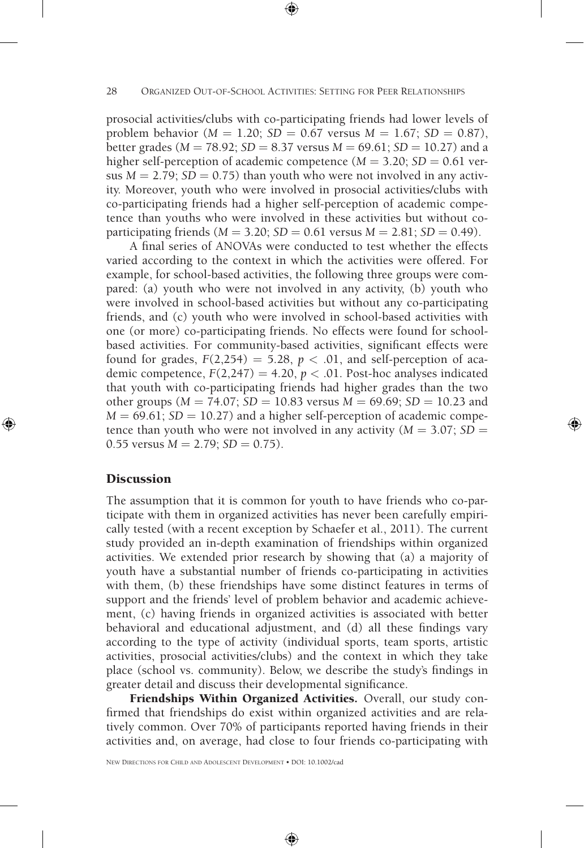prosocial activities/clubs with co-participating friends had lower levels of problem behavior ( $M = 1.20$ ;  $SD = 0.67$  versus  $M = 1.67$ ;  $SD = 0.87$ ), better grades ( $M = 78.92$ ;  $SD = 8.37$  versus  $M = 69.61$ ;  $SD = 10.27$ ) and a higher self-perception of academic competence  $(M = 3.20; SD = 0.61$  versus  $M = 2.79$ ;  $SD = 0.75$ ) than youth who were not involved in any activity. Moreover, youth who were involved in prosocial activities/clubs with co-participating friends had a higher self-perception of academic competence than youths who were involved in these activities but without coparticipating friends ( $M = 3.20$ ;  $SD = 0.61$  versus  $M = 2.81$ ;  $SD = 0.49$ ).

A final series of ANOVAs were conducted to test whether the effects varied according to the context in which the activities were offered. For example, for school-based activities, the following three groups were compared: (a) youth who were not involved in any activity, (b) youth who were involved in school-based activities but without any co-participating friends, and (c) youth who were involved in school-based activities with one (or more) co-participating friends. No effects were found for schoolbased activities. For community-based activities, significant effects were found for grades,  $F(2,254) = 5.28$ ,  $p < .01$ , and self-perception of academic competence,  $F(2,247) = 4.20$ ,  $p < .01$ . Post-hoc analyses indicated that youth with co-participating friends had higher grades than the two other groups ( $M = 74.07$ ;  $SD = 10.83$  versus  $M = 69.69$ ;  $SD = 10.23$  and  $M = 69.61$ ;  $SD = 10.27$ ) and a higher self-perception of academic competence than youth who were not involved in any activity  $(M = 3.07; SD =$ 0.55 versus  $M = 2.79$ ;  $SD = 0.75$ ).

⊕

# **Discussion**

⊕

The assumption that it is common for youth to have friends who co-participate with them in organized activities has never been carefully empirically tested (with a recent exception by Schaefer et al., 2011). The current study provided an in-depth examination of friendships within organized activities. We extended prior research by showing that (a) a majority of youth have a substantial number of friends co-participating in activities with them, (b) these friendships have some distinct features in terms of support and the friends' level of problem behavior and academic achievement, (c) having friends in organized activities is associated with better behavioral and educational adjustment, and (d) all these findings vary according to the type of activity (individual sports, team sports, artistic activities, prosocial activities/clubs) and the context in which they take place (school vs. community). Below, we describe the study's findings in greater detail and discuss their developmental significance.

Friendships Within Organized Activities. Overall, our study confirmed that friendships do exist within organized activities and are relatively common. Over 70% of participants reported having friends in their activities and, on average, had close to four friends co-participating with

⊕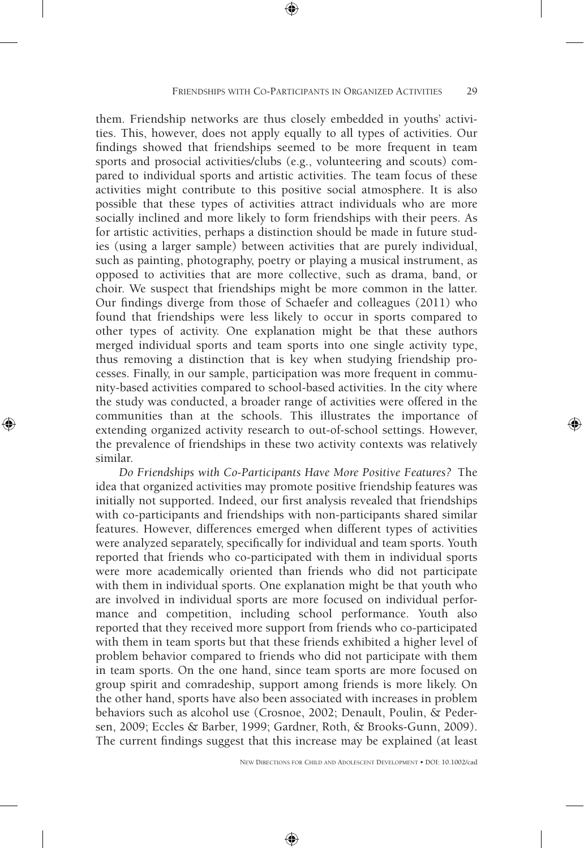them. Friendship networks are thus closely embedded in youths' activities. This, however, does not apply equally to all types of activities. Our findings showed that friendships seemed to be more frequent in team sports and prosocial activities/clubs (e.g., volunteering and scouts) compared to individual sports and artistic activities. The team focus of these activities might contribute to this positive social atmosphere. It is also possible that these types of activities attract individuals who are more socially inclined and more likely to form friendships with their peers. As for artistic activities, perhaps a distinction should be made in future studies (using a larger sample) between activities that are purely individual, such as painting, photography, poetry or playing a musical instrument, as opposed to activities that are more collective, such as drama, band, or choir. We suspect that friendships might be more common in the latter. Our findings diverge from those of Schaefer and colleagues (2011) who found that friendships were less likely to occur in sports compared to other types of activity. One explanation might be that these authors merged individual sports and team sports into one single activity type, thus removing a distinction that is key when studying friendship processes. Finally, in our sample, participation was more frequent in community-based activities compared to school-based activities. In the city where the study was conducted, a broader range of activities were offered in the communities than at the schools. This illustrates the importance of extending organized activity research to out-of-school settings. However, the prevalence of friendships in these two activity contexts was relatively similar.

⊕

*Do Friendships with Co-Participants Have More Positive Features?* The idea that organized activities may promote positive friendship features was initially not supported. Indeed, our first analysis revealed that friendships with co-participants and friendships with non-participants shared similar features. However, differences emerged when different types of activities were analyzed separately, specifically for individual and team sports. Youth reported that friends who co-participated with them in individual sports were more academically oriented than friends who did not participate with them in individual sports. One explanation might be that youth who are involved in individual sports are more focused on individual performance and competition, including school performance. Youth also reported that they received more support from friends who co-participated with them in team sports but that these friends exhibited a higher level of problem behavior compared to friends who did not participate with them in team sports. On the one hand, since team sports are more focused on group spirit and comradeship, support among friends is more likely. On the other hand, sports have also been associated with increases in problem behaviors such as alcohol use (Crosnoe, 2002; Denault, Poulin, & Pedersen, 2009; Eccles & Barber, 1999; Gardner, Roth, & Brooks-Gunn, 2009). The current findings suggest that this increase may be explained (at least

⊕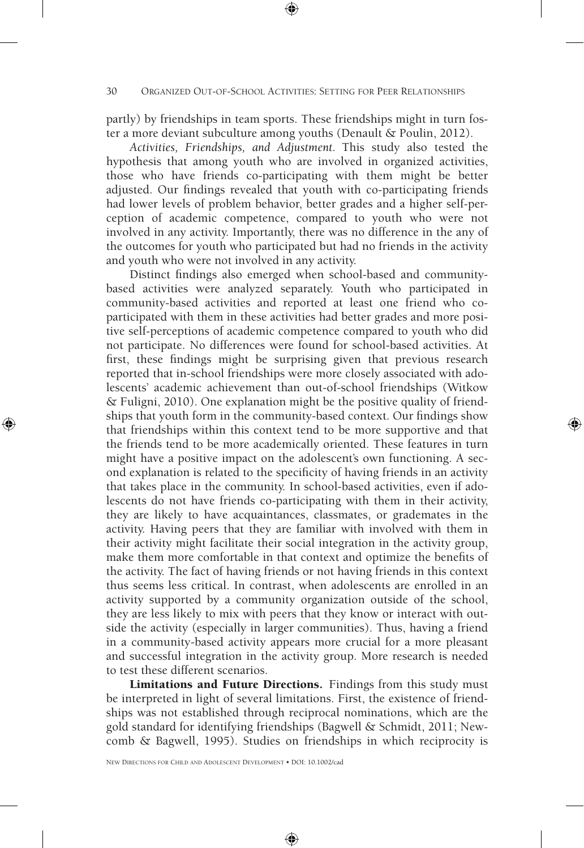partly) by friendships in team sports. These friendships might in turn foster a more deviant subculture among youths (Denault & Poulin, 2012).

*Activities, Friendships, and Adjustment.* This study also tested the hypothesis that among youth who are involved in organized activities, those who have friends co-participating with them might be better adjusted. Our findings revealed that youth with co-participating friends had lower levels of problem behavior, better grades and a higher self-perception of academic competence, compared to youth who were not involved in any activity. Importantly, there was no difference in the any of the outcomes for youth who participated but had no friends in the activity and youth who were not involved in any activity.

Distinct findings also emerged when school-based and communitybased activities were analyzed separately. Youth who participated in community-based activities and reported at least one friend who coparticipated with them in these activities had better grades and more positive self-perceptions of academic competence compared to youth who did not participate. No differences were found for school-based activities. At first, these findings might be surprising given that previous research reported that in-school friendships were more closely associated with adolescents' academic achievement than out-of-school friendships (Witkow & Fuligni, 2010). One explanation might be the positive quality of friendships that youth form in the community-based context. Our findings show that friendships within this context tend to be more supportive and that the friends tend to be more academically oriented. These features in turn might have a positive impact on the adolescent's own functioning. A second explanation is related to the specificity of having friends in an activity that takes place in the community. In school-based activities, even if adolescents do not have friends co-participating with them in their activity, they are likely to have acquaintances, classmates, or grademates in the activity. Having peers that they are familiar with involved with them in their activity might facilitate their social integration in the activity group, make them more comfortable in that context and optimize the benefits of the activity. The fact of having friends or not having friends in this context thus seems less critical. In contrast, when adolescents are enrolled in an activity supported by a community organization outside of the school, they are less likely to mix with peers that they know or interact with outside the activity (especially in larger communities). Thus, having a friend in a community-based activity appears more crucial for a more pleasant and successful integration in the activity group. More research is needed to test these different scenarios.

Limitations and Future Directions. Findings from this study must be interpreted in light of several limitations. First, the existence of friendships was not established through reciprocal nominations, which are the gold standard for identifying friendships (Bagwell & Schmidt, 2011; Newcomb & Bagwell, 1995). Studies on friendships in which reciprocity is

⊕

New Directions for Child and Adolescent Development • DOI: 10.1002/cad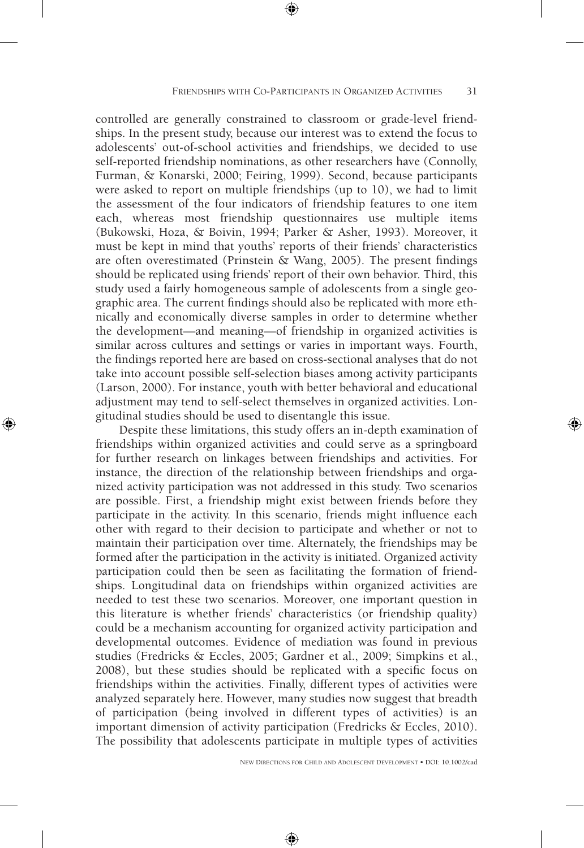controlled are generally constrained to classroom or grade-level friendships. In the present study, because our interest was to extend the focus to adolescents' out-of-school activities and friendships, we decided to use self-reported friendship nominations, as other researchers have (Connolly, Furman, & Konarski, 2000; Feiring, 1999). Second, because participants were asked to report on multiple friendships (up to 10), we had to limit the assessment of the four indicators of friendship features to one item each, whereas most friendship questionnaires use multiple items (Bukowski, Hoza, & Boivin, 1994; Parker & Asher, 1993). Moreover, it must be kept in mind that youths' reports of their friends' characteristics are often overestimated (Prinstein & Wang, 2005). The present findings should be replicated using friends' report of their own behavior. Third, this study used a fairly homogeneous sample of adolescents from a single geographic area. The current findings should also be replicated with more ethnically and economically diverse samples in order to determine whether the development—and meaning—of friendship in organized activities is similar across cultures and settings or varies in important ways. Fourth, the findings reported here are based on cross-sectional analyses that do not take into account possible self-selection biases among activity participants (Larson, 2000). For instance, youth with better behavioral and educational adjustment may tend to self-select themselves in organized activities. Longitudinal studies should be used to disentangle this issue.

⊕

Despite these limitations, this study offers an in-depth examination of friendships within organized activities and could serve as a springboard for further research on linkages between friendships and activities. For instance, the direction of the relationship between friendships and organized activity participation was not addressed in this study. Two scenarios are possible. First, a friendship might exist between friends before they participate in the activity. In this scenario, friends might influence each other with regard to their decision to participate and whether or not to maintain their participation over time. Alternately, the friendships may be formed after the participation in the activity is initiated. Organized activity participation could then be seen as facilitating the formation of friendships. Longitudinal data on friendships within organized activities are needed to test these two scenarios. Moreover, one important question in this literature is whether friends' characteristics (or friendship quality) could be a mechanism accounting for organized activity participation and developmental outcomes. Evidence of mediation was found in previous studies (Fredricks & Eccles, 2005; Gardner et al., 2009; Simpkins et al., 2008), but these studies should be replicated with a specific focus on friendships within the activities. Finally, different types of activities were analyzed separately here. However, many studies now suggest that breadth of participation (being involved in different types of activities) is an important dimension of activity participation (Fredricks & Eccles, 2010). The possibility that adolescents participate in multiple types of activities

⊕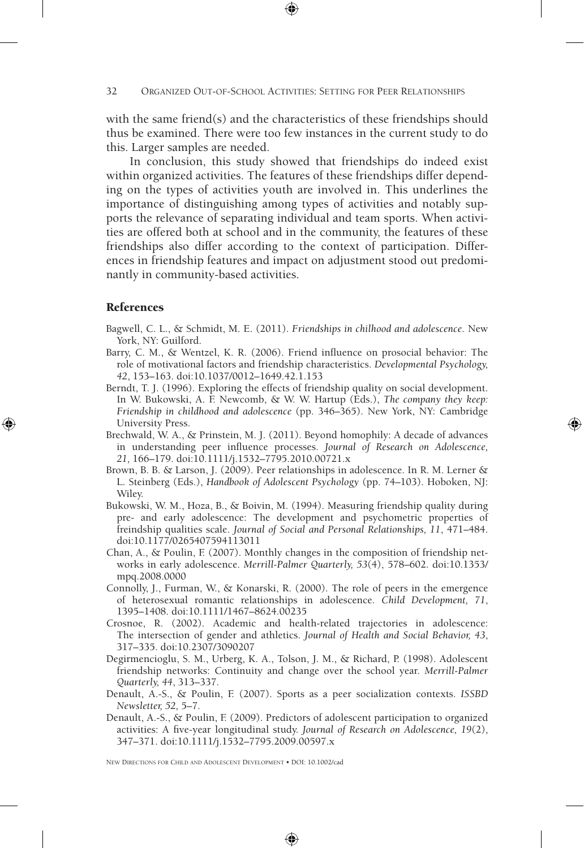with the same friend(s) and the characteristics of these friendships should thus be examined. There were too few instances in the current study to do this. Larger samples are needed.

In conclusion, this study showed that friendships do indeed exist within organized activities. The features of these friendships differ depending on the types of activities youth are involved in. This underlines the importance of distinguishing among types of activities and notably supports the relevance of separating individual and team sports. When activities are offered both at school and in the community, the features of these friendships also differ according to the context of participation. Differences in friendship features and impact on adjustment stood out predominantly in community-based activities.

# References

⊕

- Bagwell, C. L., & Schmidt, M. E. (2011). *Friendships in chilhood and adolescence*. New York, NY: Guilford.
- Barry, C. M., & Wentzel, K. R. (2006). Friend influence on prosocial behavior: The role of motivational factors and friendship characteristics. *Developmental Psychology, 42*, 153–163. doi:10.1037/0012–1649.42.1.153
- Berndt, T. J. (1996). Exploring the effects of friendship quality on social development. In W. Bukowski, A. F. Newcomb, & W. W. Hartup (Eds.), *The company they keep: Friendship in childhood and adolescence* (pp. 346–365). New York, NY: Cambridge University Press.

 $\Leftrightarrow$ 

- Brechwald, W. A., & Prinstein, M. J. (2011). Beyond homophily: A decade of advances in understanding peer influence processes. *Journal of Research on Adolescence, 21,* 166–179. doi:10.1111/j.1532–7795.2010.00721.x
- Brown, B. B. & Larson, J. (2009). Peer relationships in adolescence. In R. M. Lerner & L. Steinberg (Eds.), *Handbook of Adolescent Psychology* (pp. 74–103). Hoboken, NJ: Wiley.
- Bukowski, W. M., Hoza, B., & Boivin, M. (1994). Measuring friendship quality during pre- and early adolescence: The development and psychometric properties of freindship qualities scale. *Journal of Social and Personal Relationships, 11*, 471–484. doi:10.1177/0265407594113011
- Chan, A., & Poulin, F. (2007). Monthly changes in the composition of friendship networks in early adolescence. *Merrill-Palmer Quarterly, 53*(4), 578–602. doi:10.1353/ mpq.2008.0000
- Connolly, J., Furman, W., & Konarski, R. (2000). The role of peers in the emergence of heterosexual romantic relationships in adolescence. *Child Development, 71*, 1395–1408. doi:10.1111/1467–8624.00235
- Crosnoe, R. (2002). Academic and health-related trajectories in adolescence: The intersection of gender and athletics. *Journal of Health and Social Behavior, 43*, 317–335. doi:10.2307/3090207
- Degirmencioglu, S. M., Urberg, K. A., Tolson, J. M., & Richard, P. (1998). Adolescent friendship networks: Continuity and change over the school year. *Merrill-Palmer Quarterly, 44*, 313–337.
- Denault, A.-S., & Poulin, F. (2007). Sports as a peer socialization contexts. *ISSBD Newsletter, 52,* 5–7.
- Denault, A.-S., & Poulin, F. (2009). Predictors of adolescent participation to organized activities: A five-year longitudinal study. *Journal of Research on Adolescence, 19*(2), 347–371. doi:10.1111/j.1532–7795.2009.00597.x

⊕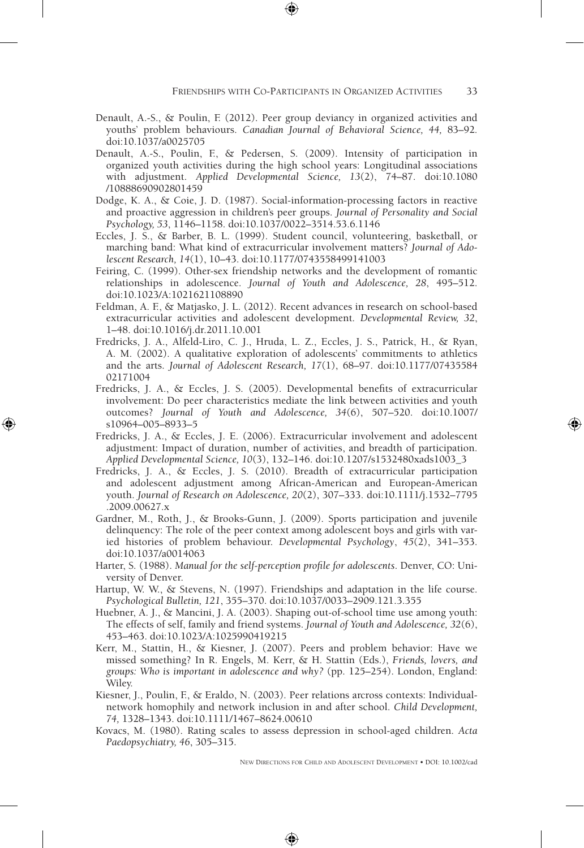- Denault, A.-S., & Poulin, F. (2012). Peer group deviancy in organized activities and youths' problem behaviours. *Canadian Journal of Behavioral Science, 44,* 83–92*.*  doi:10.1037/a0025705
- Denault, A.-S., Poulin, F., & Pedersen, S. (2009). Intensity of participation in organized youth activities during the high school years: Longitudinal associations with adjustment. *Applied Developmental Science, 13*(2), 74–87. doi:10.1080 /10888690902801459
- Dodge, K. A., & Coie, J. D. (1987). Social-information-processing factors in reactive and proactive aggression in children's peer groups. *Journal of Personality and Social Psychology, 53*, 1146–1158. doi:10.1037/0022–3514.53.6.1146
- Eccles, J. S., & Barber, B. L. (1999). Student council, volunteering, basketball, or marching band: What kind of extracurricular involvement matters? *Journal of Adolescent Research, 14*(1), 10–43. doi:10.1177/0743558499141003
- Feiring, C. (1999). Other-sex friendship networks and the development of romantic relationships in adolescence. *Journal of Youth and Adolescence, 28*, 495–512. doi:10.1023/A:1021621108890
- Feldman, A. F., & Matjasko, J. L. (2012). Recent advances in research on school-based extracurricular activities and adolescent development. *Developmental Review, 32*, 1–48. doi:10.1016/j.dr.2011.10.001
- Fredricks, J. A., Alfeld-Liro, C. J., Hruda, L. Z., Eccles, J. S., Patrick, H., & Ryan, A. M. (2002). A qualitative exploration of adolescents' commitments to athletics and the arts. *Journal of Adolescent Research, 17*(1), 68–97. doi:10.1177/07435584 02171004
- Fredricks, J. A., & Eccles, J. S. (2005). Developmental benefits of extracurricular involvement: Do peer characteristics mediate the link between activities and youth outcomes? *Journal of Youth and Adolescence, 34*(6), 507–520. doi:10.1007/ s10964–005–8933–5

⇔

- Fredricks, J. A., & Eccles, J. E. (2006). Extracurricular involvement and adolescent adjustment: Impact of duration, number of activities, and breadth of participation. *Applied Developmental Science, 10*(3), 132–146. doi:10.1207/s1532480xads1003\_3
- Fredricks, J. A., & Eccles, J. S. (2010). Breadth of extracurricular participation and adolescent adjustment among African-American and European-American youth. *Journal of Research on Adolescence, 20*(2), 307–333. doi:10.1111/j.1532–7795 .2009.00627.x
- Gardner, M., Roth, J., & Brooks-Gunn, J. (2009). Sports participation and juvenile delinquency: The role of the peer context among adolescent boys and girls with varied histories of problem behaviour. *Developmental Psychology*, *45*(2), 341–353. doi:10.1037/a0014063
- Harter, S. (1988). *Manual for the self-perception profile for adolescents*. Denver, CO: University of Denver.
- Hartup, W. W., & Stevens, N. (1997). Friendships and adaptation in the life course. *Psychological Bulletin, 121*, 355–370. doi:10.1037/0033–2909.121.3.355
- Huebner, A. J., & Mancini, J. A. (2003). Shaping out-of-school time use among youth: The effects of self, family and friend systems. *Journal of Youth and Adolescence, 32*(6), 453–463. doi:10.1023/A:1025990419215
- Kerr, M., Stattin, H., & Kiesner, J. (2007). Peers and problem behavior: Have we missed something? In R. Engels, M. Kerr, & H. Stattin (Eds.), *Friends, lovers, and groups: Who is important in adolescence and why?* (pp. 125–254). London, England: Wiley.
- Kiesner, J., Poulin, F., & Eraldo, N. (2003). Peer relations arcross contexts: Individualnetwork homophily and network inclusion in and after school. *Child Development, 74,* 1328–1343. doi:10.1111/1467–8624.00610
- Kovacs, M. (1980). Rating scales to assess depression in school-aged children. *Acta Paedopsychiatry, 46*, 305–315.

⊕

New Directions for Child and Adolescent Development • DOI: 10.1002/cad

↔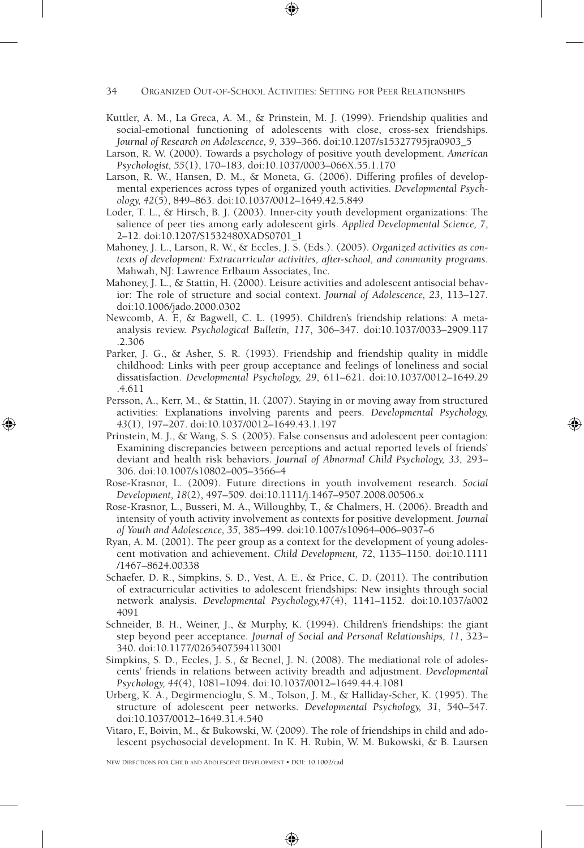- Kuttler, A. M., La Greca, A. M., & Prinstein, M. J. (1999). Friendship qualities and social-emotional functioning of adolescents with close, cross-sex friendships. *Journal of Research on Adolescence, 9*, 339–366. doi:10.1207/s15327795jra0903\_5
- Larson, R. W. (2000). Towards a psychology of positive youth development. *American Psychologist, 55*(1), 170–183. doi:10.1037/0003–066X.55.1.170
- Larson, R. W., Hansen, D. M., & Moneta, G. (2006). Differing profiles of developmental experiences across types of organized youth activities. *Developmental Psychology, 42*(5), 849–863. doi:10.1037/0012–1649.42.5.849
- Loder, T. L., & Hirsch, B. J. (2003). Inner-city youth development organizations: The salience of peer ties among early adolescent girls. *Applied Developmental Science, 7*, 2–12. doi:10.1207/S1532480XADS0701\_1
- Mahoney, J. L., Larson, R. W., & Eccles, J. S. (Eds.). (2005). *Organized activities as contexts of development: Extracurricular activities, after-school, and community programs*. Mahwah, NJ: Lawrence Erlbaum Associates, Inc.
- Mahoney, J. L., & Stattin, H. (2000). Leisure activities and adolescent antisocial behavior: The role of structure and social context. *Journal of Adolescence, 23*, 113–127. doi:10.1006/jado.2000.0302
- Newcomb, A. F., & Bagwell, C. L. (1995). Children's friendship relations: A metaanalysis review. *Psychological Bulletin, 117*, 306–347. doi:10.1037/0033–2909.117 .2.306
- Parker, J. G., & Asher, S. R. (1993). Friendship and friendship quality in middle childhood: Links with peer group acceptance and feelings of loneliness and social dissatisfaction. *Developmental Psychology, 29*, 611–621. doi:10.1037/0012–1649.29 .4.611
- Persson, A., Kerr, M., & Stattin, H. (2007). Staying in or moving away from structured activities: Explanations involving parents and peers. *Developmental Psychology, 43*(1), 197–207. doi:10.1037/0012–1649.43.1.197

⊕

- Prinstein, M. J., & Wang, S. S. (2005). False consensus and adolescent peer contagion: Examining discrepancies between perceptions and actual reported levels of friends' deviant and health risk behaviors. *Journal of Abnormal Child Psychology, 33*, 293– 306. doi:10.1007/s10802–005–3566–4
- Rose-Krasnor, L. (2009). Future directions in youth involvement research. *Social Development, 18*(2), 497–509. doi:10.1111/j.1467–9507.2008.00506.x
- Rose-Krasnor, L., Busseri, M. A., Willoughby, T., & Chalmers, H. (2006). Breadth and intensity of youth activity involvement as contexts for positive development. *Journal of Youth and Adolescence, 35*, 385–499. doi:10.1007/s10964–006–9037–6
- Ryan, A. M. (2001). The peer group as a context for the development of young adolescent motivation and achievement. *Child Development, 72*, 1135–1150. doi:10.1111 /1467–8624.00338
- Schaefer, D. R., Simpkins, S. D., Vest, A. E., & Price, C. D. (2011). The contribution of extracurricular activities to adolescent friendships: New insights through social network analysis. *Developmental Psychology,47*(4), 1141–1152. doi:10.1037/a002 4091
- Schneider, B. H., Weiner, J., & Murphy, K. (1994). Children's friendships: the giant step beyond peer acceptance. *Journal of Social and Personal Relationships, 11*, 323– 340. doi:10.1177/0265407594113001
- Simpkins, S. D., Eccles, J. S., & Becnel, J. N. (2008). The mediational role of adolescents' friends in relations between activity breadth and adjustment. *Developmental Psychology, 44*(4), 1081–1094. doi:10.1037/0012–1649.44.4.1081
- Urberg, K. A., Degirmencioglu, S. M., Tolson, J. M., & Halliday-Scher, K. (1995). The structure of adolescent peer networks. *Developmental Psychology, 31*, 540–547. doi:10.1037/0012–1649.31.4.540
- Vitaro, F., Boivin, M., & Bukowski, W. (2009). The role of friendships in child and adolescent psychosocial development. In K. H. Rubin, W. M. Bukowski, & B. Laursen

⊕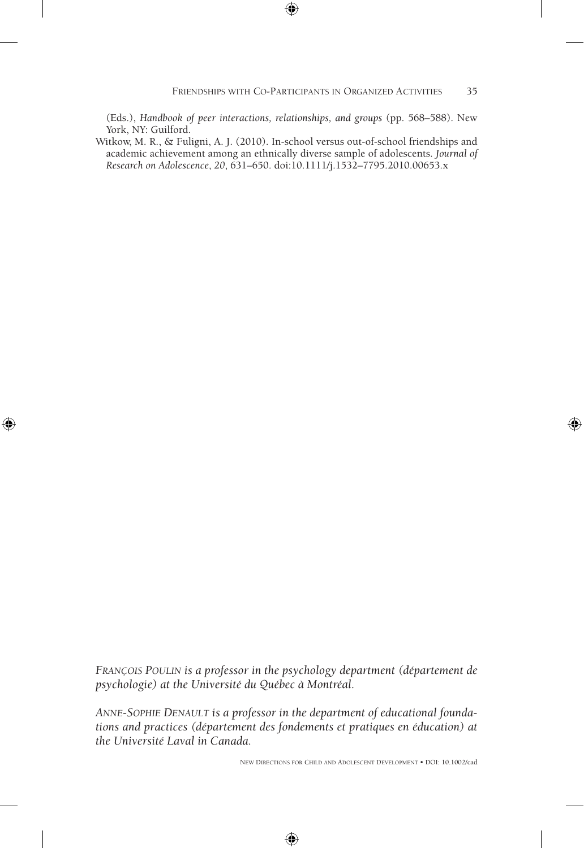### FRIENDSHIPS WITH CO-PARTICIPANTS IN ORGANIZED ACTIVITIES 35

(Eds.), *Handbook of peer interactions, relationships, and groups* (pp. 568–588). New York, NY: Guilford.

 $\textcircled{\scriptsize{+}}$ 

Witkow, M. R., & Fuligni, A. J. (2010). In-school versus out-of-school friendships and academic achievement among an ethnically diverse sample of adolescents. *Journal of Research on Adolescence*, *20*, 631–650. doi:10.1111/j.1532–7795.2010.00653.x

*François Poulin is a professor in the psychology department (département de psychologie) at the Université du Québec à Montréal.*

⊕

*Anne-Sophie Denault is a professor in the department of educational foundations and practices (département des fondements et pratiques en éducation) at the Université Laval in Canada.*

⊕

New Directions for Child and Adolescent Development • DOI: 10.1002/cad